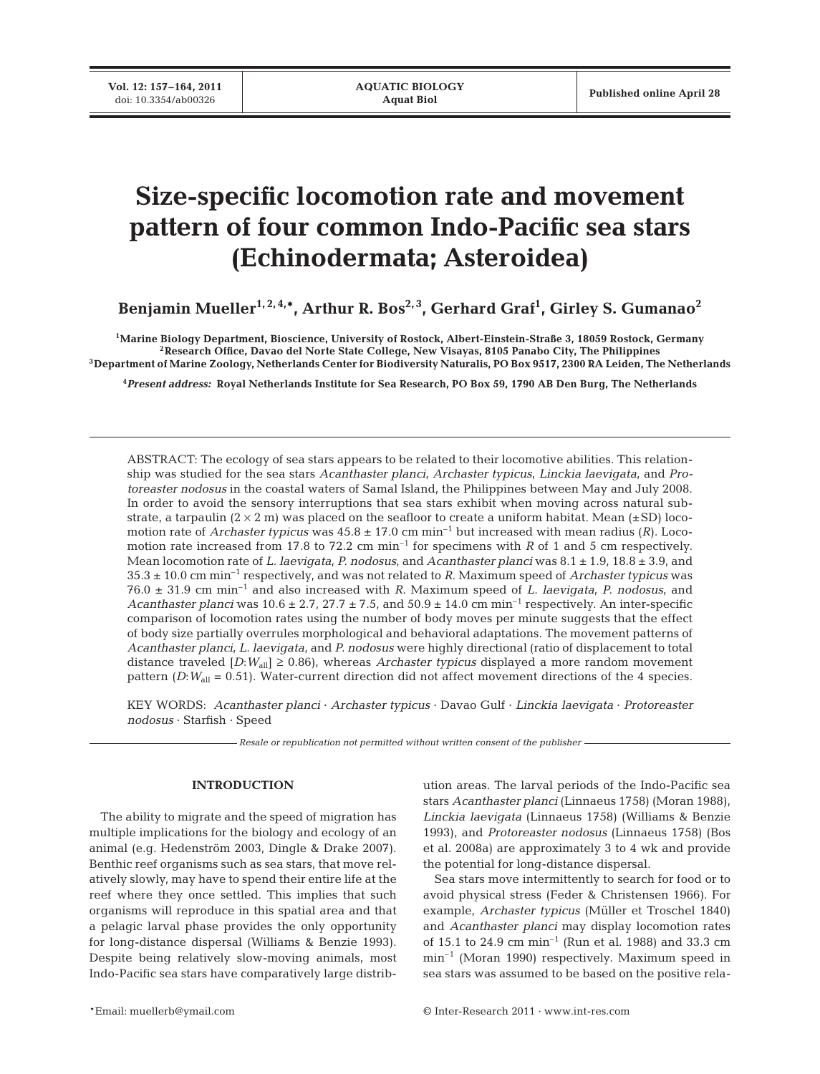# **Size-specific locomotion rate and movement pattern of four common Indo-Pacific sea stars (Echinodermata; Asteroidea)**

**Benjamin Mueller1, 2, 4,\*, Arthur R. Bos2, 3, Gerhard Graf1 , Girley S. Gumanao2**

**1Marine Biology Department, Bioscience, University of Rostock, Albert-Einstein-Straße 3, 18059 Rostock, Germany 2Research Office, Davao del Norte State College, New Visayas, 8105 Panabo City, The Philippines 3Department of Marine Zoology, Netherlands Center for Biodiversity Naturalis, PO Box 9517, 2300 RA Leiden, The Netherlands**

**4** *Present address:* **Royal Netherlands Institute for Sea Research, PO Box 59, 1790 AB Den Burg, The Netherlands**

ABSTRACT: The ecology of sea stars appears to be related to their locomotive abilities. This relationship was studied for the sea stars *Acanthaster planci*, *Archaster typicus*, *Linckia laevigata*, and *Protoreaster nodosus* in the coastal waters of Samal Island, the Philippines between May and July 2008. In order to avoid the sensory interruptions that sea stars exhibit when moving across natural substrate, a tarpaulin  $(2 \times 2 \text{ m})$  was placed on the seafloor to create a uniform habitat. Mean  $(\pm SD)$  locomotion rate of *Archaster typicus* was  $45.8 \pm 17.0 \text{ cm min}^{-1}$  but increased with mean radius (*R*). Locomotion rate increased from 17.8 to 72.2 cm min<sup>-1</sup> for specimens with *R* of 1 and 5 cm respectively. Mean locomotion rate of *L. laevigata*, *P. nodosus*, and *Acanthaster planci* was 8.1 ± 1.9, 18.8 ± 3.9, and 35.3 ± 10.0 cm min–1 respectively, and was not related to *R*. Maximum speed of *Archaster typicus* was 76.0 ± 31.9 cm min–1 and also increased with *R*. Maximum speed of *L. laevigata*, *P. nodosus*, and *Acanthaster planci* was 10.6  $\pm$  2.7, 27.7  $\pm$  7.5, and 50.9  $\pm$  14.0 cm min<sup>-1</sup> respectively. An inter-specific comparison of locomotion rates using the number of body moves per minute suggests that the effect of body size partially overrules morphological and behavioral adaptations. The movement patterns of *Acanthaster planci*, *L. laevigata*, and *P. nodosus* were highly directional (ratio of displacement to total distance traveled  $[D:W_{all}] \geq 0.86$ , whereas *Archaster typicus* displayed a more random movement pattern (*D*:*W*<sub>all</sub> = 0.51). Water-current direction did not affect movement directions of the 4 species.

KEY WORDS: *Acanthaster planci* · *Archaster typicus* · Davao Gulf · *Linckia laevigata* · *Protoreaster nodosus* · Starfish · Speed

*Resale or republication not permitted without written consent of the publisher*

## **INTRODUCTION**

The ability to migrate and the speed of migration has multiple implications for the biology and ecology of an animal (e.g. Hedenström 2003, Dingle & Drake 2007). Benthic reef organisms such as sea stars, that move relatively slowly, may have to spend their entire life at the reef where they once settled. This implies that such organisms will reproduce in this spatial area and that a pelagic larval phase provides the only opportunity for long-distance dispersal (Williams & Benzie 1993). Despite being relatively slow-moving animals, most Indo-Pacific sea stars have comparatively large distribution areas. The larval periods of the Indo-Pacific sea stars *Acanthaster planci* (Linnaeus 1758) (Moran 1988), *Linckia laevigata* (Linnaeus 1758) (Williams & Benzie 1993), and *Protoreaster nodosus* (Linnaeus 1758) (Bos et al. 2008a) are approximately 3 to 4 wk and provide the potential for long-distance dispersal.

Sea stars move intermittently to search for food or to avoid physical stress (Feder & Christensen 1966). For example, *Archaster typicus* (Müller et Troschel 1840) and *Acanthaster planci* may display locomotion rates of 15.1 to 24.9 cm  $min^{-1}$  (Run et al. 1988) and 33.3 cm min–1 (Moran 1990) respectively. Maximum speed in sea stars was assumed to be based on the positive rela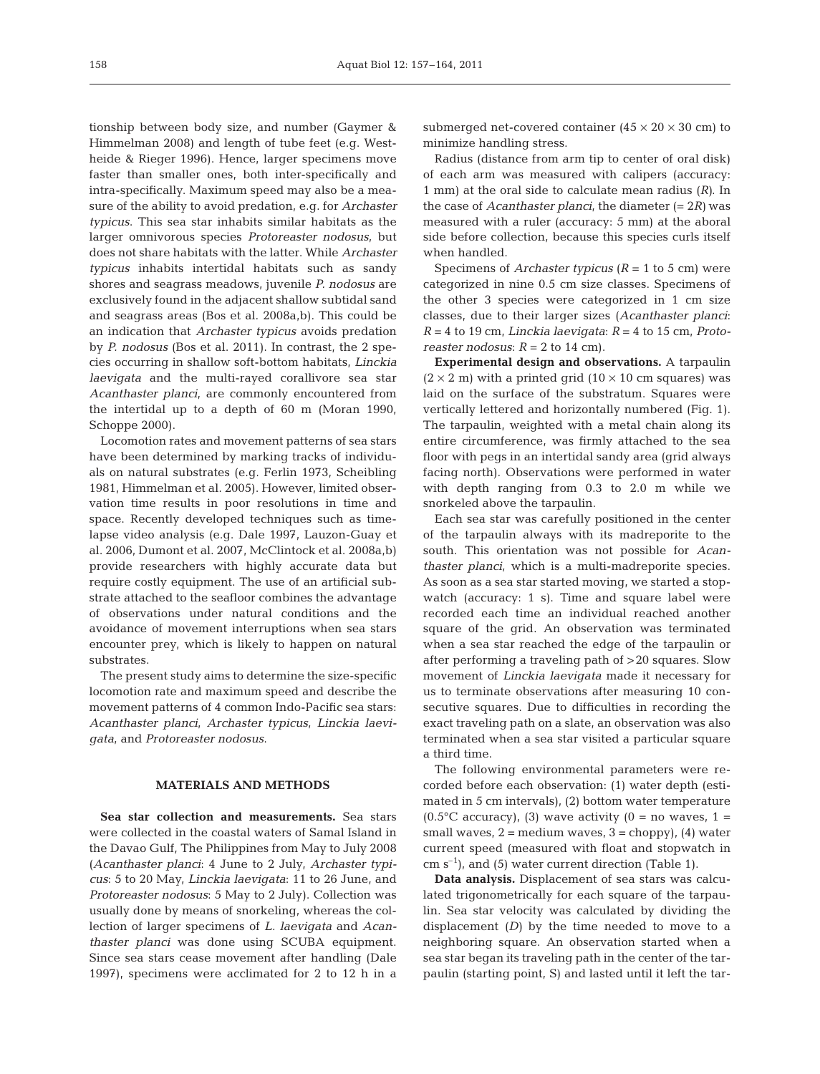tionship between body size, and number (Gaymer & Himmelman 2008) and length of tube feet (e.g. Westheide & Rieger 1996). Hence, larger specimens move faster than smaller ones, both inter-specifically and intra-specifically. Maximum speed may also be a measure of the ability to avoid predation, e.g. for *Archaster typicus*. This sea star inhabits similar habitats as the larger omnivorous species *Protoreaster nodosus*, but does not share habitats with the latter. While *Archaster typicus* inhabits intertidal habitats such as sandy shores and seagrass meadows, juvenile *P. nodosus* are exclusively found in the adjacent shallow subtidal sand and seagrass areas (Bos et al. 2008a,b). This could be an indication that *Archaster typicus* avoids predation by *P. nodosus* (Bos et al. 2011). In contrast, the 2 species occurring in shallow soft-bottom habitats, *Linckia laevigata* and the multi-rayed corallivore sea star *Acanthaster planci*, are commonly encountered from the intertidal up to a depth of 60 m (Moran 1990, Schoppe 2000).

Locomotion rates and movement patterns of sea stars have been determined by marking tracks of individuals on natural substrates (e.g. Ferlin 1973, Scheibling 1981, Himmelman et al. 2005). However, limited observation time results in poor resolutions in time and space. Recently developed techniques such as timelapse video analysis (e.g. Dale 1997, Lauzon-Guay et al. 2006, Dumont et al. 2007, McClintock et al. 2008a,b) provide researchers with highly accurate data but require costly equipment. The use of an artificial substrate attached to the seafloor combines the advantage of observations under natural conditions and the avoidance of movement interruptions when sea stars encounter prey, which is likely to happen on natural substrates.

The present study aims to determine the size-specific locomotion rate and maximum speed and describe the movement patterns of 4 common Indo-Pacific sea stars: *Acanthaster planci*, *Archaster typicus*, *Linckia laevigata*, and *Protoreaster nodosus*.

## **MATERIALS AND METHODS**

**Sea star collection and measurements.** Sea stars were collected in the coastal waters of Samal Island in the Davao Gulf, The Philippines from May to July 2008 (*Acanthaster planci*: 4 June to 2 July, *Archaster typicus*: 5 to 20 May, *Linckia laevigata*: 11 to 26 June, and *Protoreaster nodosus*: 5 May to 2 July). Collection was usually done by means of snorkeling, whereas the collection of larger specimens of *L. laevigata* and *Acanthaster planci* was done using SCUBA equipment. Since sea stars cease movement after handling (Dale 1997), specimens were acclimated for 2 to 12 h in a

submerged net-covered container  $(45 \times 20 \times 30 \text{ cm})$  to minimize handling stress.

Radius (distance from arm tip to center of oral disk) of each arm was measured with calipers (accuracy: 1 mm) at the oral side to calculate mean radius (*R)*. In the case of *Acanthaster planci*, the diameter (= 2*R)* was measured with a ruler (accuracy: 5 mm) at the aboral side before collection, because this species curls itself when handled.

Specimens of *Archaster typicus* (*R* = 1 to 5 cm) were categorized in nine 0.5 cm size classes. Specimens of the other 3 species were categorized in 1 cm size classes, due to their larger sizes (*Acanthaster planci*: *R* = 4 to 19 cm, *Linckia laevigata*: *R* = 4 to 15 cm, *Proto reaster nodosus*:  $R = 2$  to 14 cm).

**Experimental design and observations.** A tarpaulin  $(2 \times 2 \text{ m})$  with a printed grid  $(10 \times 10 \text{ cm} \text{ squares})$  was laid on the surface of the substratum. Squares were vertically lettered and horizontally numbered (Fig. 1). The tarpaulin, weighted with a metal chain along its entire circumference, was firmly attached to the sea floor with pegs in an intertidal sandy area (grid always facing north). Observations were performed in water with depth ranging from 0.3 to 2.0 m while we snorkeled above the tarpaulin.

Each sea star was carefully positioned in the center of the tarpaulin always with its madreporite to the south. This orientation was not possible for *Acanthaster planci*, which is a multi-madreporite species. As soon as a sea star started moving, we started a stopwatch (accuracy: 1 s). Time and square label were recorded each time an individual reached another square of the grid. An observation was terminated when a sea star reached the edge of the tarpaulin or after performing a traveling path of >20 squares. Slow movement of *Linckia laevigata* made it necessary for us to terminate observations after measuring 10 consecutive squares. Due to difficulties in recording the exact traveling path on a slate, an observation was also terminated when a sea star visited a particular square a third time.

The following environmental parameters were recorded before each observation: (1) water depth (estimated in 5 cm intervals), (2) bottom water temperature  $(0.5^{\circ}$ C accuracy), (3) wave activity  $(0 =$  no waves, 1 = small waves,  $2 = \text{medium waves}, 3 = \text{chopy}$ , (4) water current speed (measured with float and stopwatch in  $\text{cm s}^{-1}$ ), and (5) water current direction (Table 1).

**Data analysis.** Displacement of sea stars was calculated trigonometrically for each square of the tarpaulin. Sea star velocity was calculated by dividing the displacement (*D)* by the time needed to move to a neighboring square. An observation started when a sea star began its traveling path in the center of the tarpaulin (starting point, S) and lasted until it left the tar-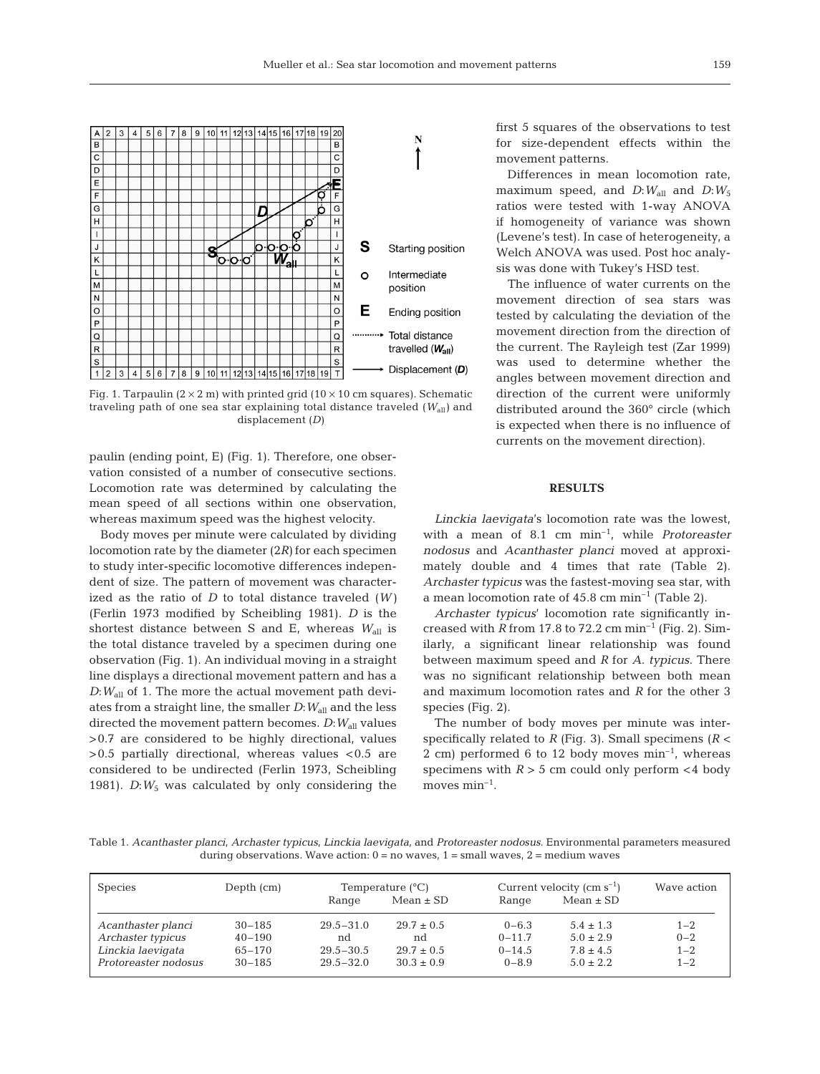

Fig. 1. Tarpaulin  $(2 \times 2 \text{ m})$  with printed grid  $(10 \times 10 \text{ cm}$  squares). Schematic traveling path of one sea star explaining total distance traveled ( $W_{all}$ ) and displacement (*D)*

paulin (ending point, E) (Fig. 1). Therefore, one observation consisted of a number of consecutive sections. Locomotion rate was determined by calculating the mean speed of all sections within one observation, whereas maximum speed was the highest velocity.

Body moves per minute were calculated by dividing locomotion rate by the diameter (2*R)* for each specimen to study inter-specific locomotive differences independent of size. The pattern of movement was characterized as the ratio of *D* to total distance traveled (*W)* (Ferlin 1973 modified by Scheibling 1981). *D* is the shortest distance between S and E, whereas  $W_{all}$  is the total distance traveled by a specimen during one observation (Fig. 1). An individual moving in a straight line displays a directional movement pattern and has a *D*:*W*all of 1. The more the actual movement path deviates from a straight line, the smaller *D*:*W*all and the less directed the movement pattern becomes. *D*:*W*all values >0.7 are considered to be highly directional, values >0.5 partially directional, whereas values <0.5 are considered to be undirected (Ferlin 1973, Scheibling 1981). *D*:*W*<sup>5</sup> was calculated by only considering the

first 5 squares of the observations to test for size-dependent effects within the movement patterns.

Differences in mean locomotion rate, maximum speed, and  $D: W_{all}$  and  $D: W_5$ ratios were tested with 1-way ANOVA if homogeneity of variance was shown (Levene's test). In case of heterogeneity, a Welch ANOVA was used. Post hoc analysis was done with Tukey's HSD test.

The influence of water currents on the movement direction of sea stars was tested by calculating the deviation of the movement direction from the direction of the current. The Rayleigh test (Zar 1999) was used to determine whether the angles between movement direction and direction of the current were uniformly distributed around the 360° circle (which is expected when there is no influence of currents on the movement direction).

## **RESULTS**

*Linckia laevigata*'s locomotion rate was the lowest, with a mean of 8.1 cm min–1, while *Protoreaster nodosus* and *Acanthaster planci* moved at approximately double and 4 times that rate (Table 2). *Archaster typicus* was the fastest-moving sea star, with a mean locomotion rate of  $45.8 \text{ cm min}^{-1}$  (Table 2).

Archaster typicus' locomotion rate significantly increased with  $R$  from 17.8 to 72.2 cm min<sup>-1</sup> (Fig. 2). Similarly, a significant linear relationship was found between maximum speed and *R* for *A. typicus*. There was no significant relationship between both mean and maximum locomotion rates and *R* for the other 3 species (Fig. 2).

The number of body moves per minute was interspecifically related to *R* (Fig. 3). Small specimens (*R* < 2 cm) performed 6 to 12 body moves  $min^{-1}$ , whereas specimens with  $R > 5$  cm could only perform  $<$  4 body moves  $\min^{-1}$ .

Table 1. *Acanthaster planci*, *Archaster typicus*, *Linckia laevigata*, and *Protoreaster nodosus*. Environmental parameters measured during observations. Wave action:  $0 = no$  waves,  $1 = small$  waves,  $2 = medium$  waves

| <b>Species</b>       | Depth (cm) | Temperature $(^{\circ}C)$ |                | Current velocity $\rm (cm\;s^{-1})$ | Wave action   |         |
|----------------------|------------|---------------------------|----------------|-------------------------------------|---------------|---------|
|                      |            | Range                     | $Mean \pm SD$  | Range                               | $Mean \pm SD$ |         |
| Acanthaster planci   | $30 - 185$ | $29.5 - 31.0$             | $29.7 \pm 0.5$ | $0 - 6.3$                           | $5.4 \pm 1.3$ | $1 - 2$ |
| Archaster typicus    | $40 - 190$ | nd                        | nd             | $0 - 11.7$                          | $5.0 \pm 2.9$ | $0 - 2$ |
| Linckia laevigata    | $65 - 170$ | $29.5 - 30.5$             | $29.7 \pm 0.5$ | $0 - 14.5$                          | $7.8 \pm 4.5$ | $1 - 2$ |
| Protoreaster nodosus | $30 - 185$ | $29.5 - 32.0$             | $30.3 \pm 0.9$ | $0 - 8.9$                           | $5.0 \pm 2.2$ | $1 - 2$ |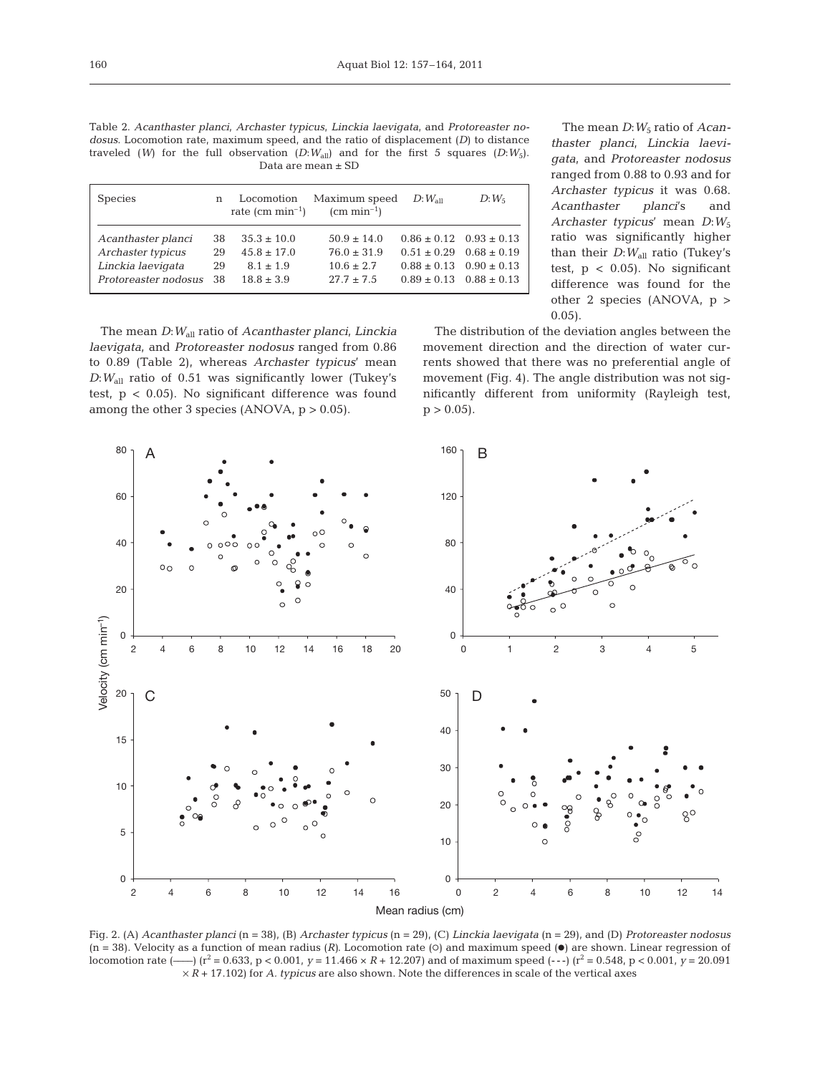|                                                                                               |  |  |  |  | Table 2. Acanthaster planci, Archaster typicus, Linckia laevigata, and Protoreaster no-     |  |  |  |  |  |  |
|-----------------------------------------------------------------------------------------------|--|--|--|--|---------------------------------------------------------------------------------------------|--|--|--|--|--|--|
| <i>dosus.</i> Locomotion rate, maximum speed, and the ratio of displacement $(D)$ to distance |  |  |  |  |                                                                                             |  |  |  |  |  |  |
|                                                                                               |  |  |  |  | traveled (W) for the full observation $(D:W_{all})$ and for the first 5 squares $(D:W_5)$ . |  |  |  |  |  |  |
| Data are mean ± SD                                                                            |  |  |  |  |                                                                                             |  |  |  |  |  |  |

| <b>Species</b>       | n   | Locomotion<br>rate $\rm (cm \ min^{-1})$ | Maximum speed<br>$\rm (cm \; min^{-1})$ | $D:W_{\rm all}$ | $D:W_5$                         |
|----------------------|-----|------------------------------------------|-----------------------------------------|-----------------|---------------------------------|
| Acanthaster planci   | 38. | $35.3 \pm 10.0$                          | $50.9 \pm 14.0$                         |                 | $0.86 \pm 0.12$ $0.93 \pm 0.13$ |
| Archaster typicus    | 29  | $45.8 + 17.0$                            | $76.0 + 31.9$                           |                 | $0.51 \pm 0.29$ $0.68 \pm 0.19$ |
| Linckia laevigata    | 29  | $8.1 \pm 1.9$                            | $10.6 + 2.7$                            |                 | $0.88 + 0.13$ $0.90 + 0.13$     |
| Protoreaster nodosus | 38  | $18.8 + 3.9$                             | $27.7 + 7.5$                            |                 | $0.89 \pm 0.13$ $0.88 \pm 0.13$ |

The mean *D*:*W*all ratio of *Acanthaster planci*, *Linckia laevigata*, and *Protoreaster nodosus* ranged from 0.86 to 0.89 (Table 2), whereas *Archaster typicus*' mean *D*:*W*all ratio of 0.51 was significantly lower (Tukey's test, p < 0.05). No significant difference was found among the other 3 species (ANOVA,  $p > 0.05$ ).

The mean *D*:  $W_5$  ratio of *Acanthaster planci*, *Linckia laevigata*, and *Protoreaster nodosus* ranged from 0.88 to 0.93 and for *Archaster typicus* it was 0.68. *Acanthaster planci*'s and *Archaster typicus*' mean *D*:*W*<sup>5</sup> ratio was significantly higher than their  $D:W_{all}$  ratio (Tukey's test,  $p < 0.05$ ). No significant difference was found for the other 2 species (ANOVA, p > 0.05).

The distribution of the deviation angles between the movement direction and the direction of water currents showed that there was no preferential angle of movement (Fig. 4). The angle distribution was not significantly different from uniformity (Rayleigh test,  $p > 0.05$ .



Fig. 2. (A) *Acanthaster planci* (n = 38), (B) *Archaster typicus* (n = 29), (C) *Linckia laevigata* (n = 29), and (D) *Protoreaster nodosus*  $(n = 38)$ . Velocity as a function of mean radius  $(R)$ . Locomotion rate  $(0)$  and maximum speed  $(0)$  are shown. Linear regression of locomotion rate (—–) ( $r^2 = 0.633$ ,  $p < 0.001$ ,  $y = 11.466 \times R + 12.207$ ) and of maximum speed (---) ( $r^2 = 0.548$ ,  $p < 0.001$ ,  $y = 20.091$  $\times R$  + 17.102) for *A. typicus* are also shown. Note the differences in scale of the vertical axes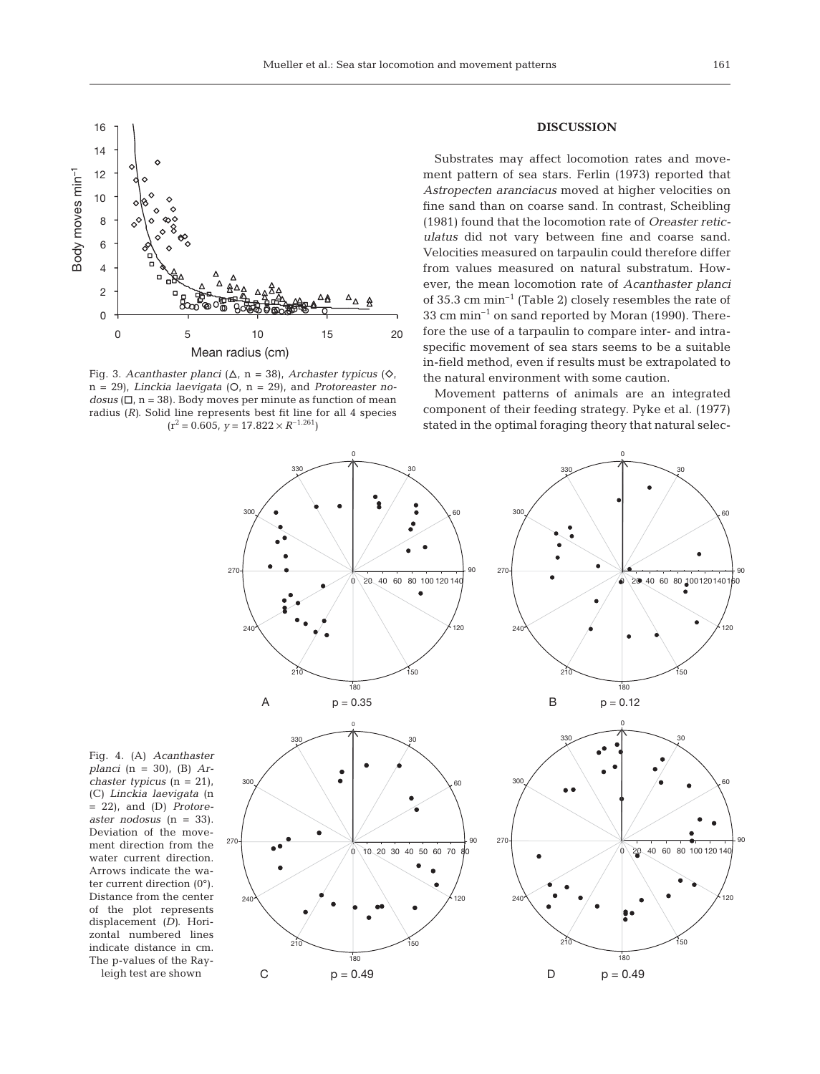

Fig. 3. *Acanthaster planci* ( $\Delta$ , n = 38), *Archaster typicus* ( $\diamondsuit$ , n = 29), *Linckia laevigata* (O, n = 29), and *Protoreaster nodosus* ( $\Box$ ,  $n = 38$ ). Body moves per minute as function of mean radius (*R)*. Solid line represents best fit line for all 4 species  $(r^2 = 0.605, y = 17.822 \times R^{-1.261})$ 

## **DISCUSSION**

Substrates may affect locomotion rates and movement pattern of sea stars. Ferlin (1973) reported that *Astropecten aranciacus* moved at higher velocities on fine sand than on coarse sand. In contrast, Scheibling (1981) found that the locomotion rate of *Oreaster reticulatus* did not vary between fine and coarse sand. Velocities measured on tarpaulin could therefore differ from values measured on natural substratum. However, the mean locomotion rate of *Acanthaster planci* of 35.3 cm min–1 (Table 2) closely resembles the rate of  $33 \text{ cm min}^{-1}$  on sand reported by Moran (1990). Therefore the use of a tarpaulin to compare inter- and intraspecific movement of sea stars seems to be a suitable in-field method, even if results must be extrapolated to the natural environment with some caution.

Movement patterns of animals are an integrated component of their feeding strategy. Pyke et al. (1977) stated in the optimal foraging theory that natural selec-



Fig. 4. (A) *Acanthaster planci* (n = 30), (B) *Archaster typicus* (n = 21), (C) *Linckia laevigata* (n = 22), and (D) *Protoreaster nodosus* (n = 33). Deviation of the movement direction from the water current direction. Arrows indicate the water current direction (0°). Distance from the center of the plot represents displacement *(D)*. Horizontal numbered lines indicate distance in cm. The p-values of the Ray-

leigh test are shown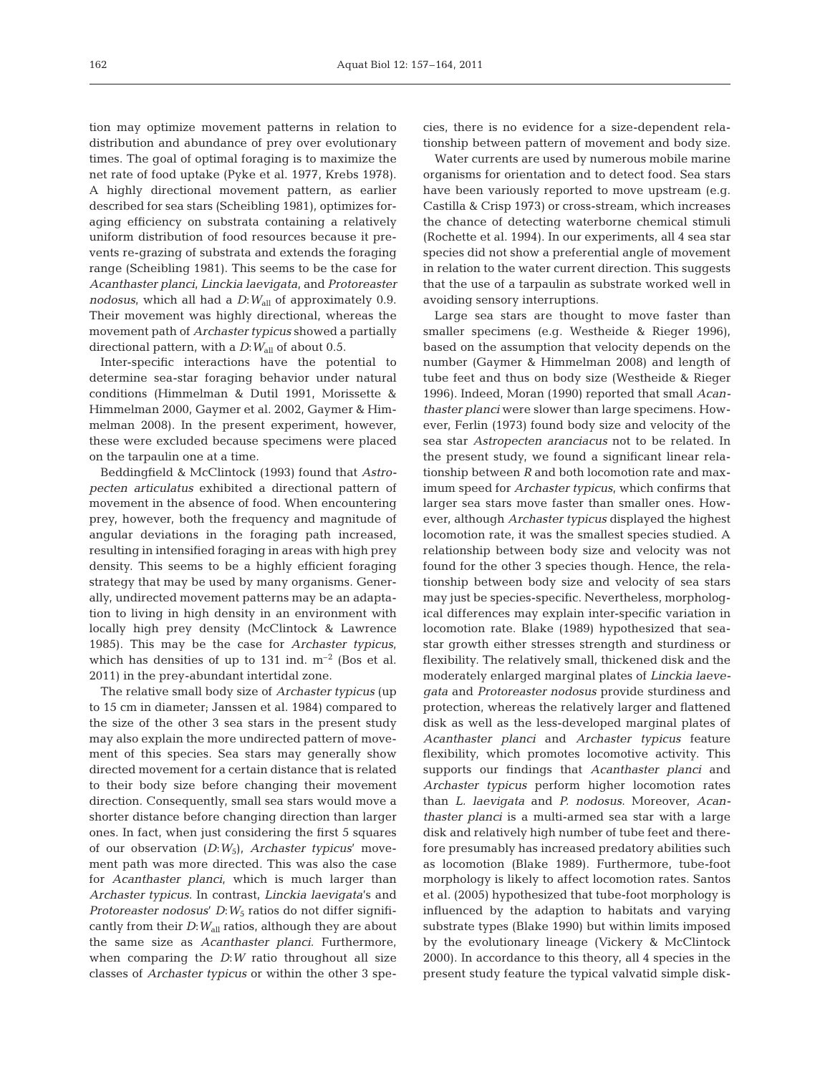tion may optimize movement patterns in relation to distribution and abundance of prey over evolutionary times. The goal of optimal foraging is to maximize the net rate of food uptake (Pyke et al. 1977, Krebs 1978). A highly directional movement pattern, as earlier described for sea stars (Scheibling 1981), optimizes foraging efficiency on substrata containing a relatively uniform distribution of food resources because it prevents re-grazing of substrata and extends the foraging range (Scheibling 1981). This seems to be the case for *Acanthaster planci*, *Linckia laevigata*, and *Protoreaster nodosus*, which all had a *D*:*W*all of approximately 0.9. Their movement was highly directional, whereas the movement path of *Archaster typicus* showed a partially directional pattern, with a  $D:W_{all}$  of about 0.5.

Inter-specific interactions have the potential to determine sea-star foraging behavior under natural conditions (Himmelman & Dutil 1991, Morissette & Himmelman 2000, Gaymer et al. 2002, Gaymer & Himmelman 2008). In the present experiment, however, these were excluded because specimens were placed on the tarpaulin one at a time.

Beddingfield & McClintock (1993) found that *Astro pecten articulatus* exhibited a directional pattern of movement in the absence of food. When encountering prey, however, both the frequency and magnitude of angular deviations in the foraging path increased, resulting in intensified foraging in areas with high prey density. This seems to be a highly efficient foraging strategy that may be used by many organisms. Generally, undirected movement patterns may be an adaptation to living in high density in an environment with locally high prey density (McClintock & Lawrence 1985). This may be the case for *Archaster typicus*, which has densities of up to 131 ind.  $m^{-2}$  (Bos et al. 2011) in the prey-abundant intertidal zone.

The relative small body size of *Archaster typicus* (up to 15 cm in diameter; Janssen et al. 1984) compared to the size of the other 3 sea stars in the present study may also explain the more undirected pattern of movement of this species. Sea stars may generally show directed movement for a certain distance that is related to their body size before changing their movement direction. Consequently, small sea stars would move a shorter distance before changing direction than larger ones. In fact, when just considering the first 5 squares of our observation (*D*:*W*5), *Archaster typicus*' movement path was more directed. This was also the case for *Acanthaster planci*, which is much larger than *Archaster typicus*. In contrast, *Linckia laevigata*'s and *Protoreaster nodosus*' *D*:*W*<sup>5</sup> ratios do not differ significantly from their *D*:  $W_{all}$  ratios, although they are about the same size as *Acanthaster planci*. Furthermore, when comparing the *D*:*W* ratio throughout all size classes of *Archaster typicus* or within the other 3 species, there is no evidence for a size-dependent relationship between pattern of movement and body size.

Water currents are used by numerous mobile marine organisms for orientation and to detect food. Sea stars have been variously reported to move upstream (e.g. Castilla & Crisp 1973) or cross-stream, which increases the chance of detecting waterborne chemical stimuli (Rochette et al. 1994). In our experiments, all 4 sea star species did not show a preferential angle of movement in relation to the water current direction. This suggests that the use of a tarpaulin as substrate worked well in avoiding sensory interruptions.

Large sea stars are thought to move faster than smaller specimens (e.g. Westheide & Rieger 1996), based on the assumption that velocity depends on the number (Gaymer & Himmelman 2008) and length of tube feet and thus on body size (Westheide & Rieger 1996). Indeed, Moran (1990) reported that small *Acanthaster planci* were slower than large specimens. However, Ferlin (1973) found body size and velocity of the sea star *Astropecten aranciacus* not to be related. In the present study, we found a significant linear relationship between *R* and both locomotion rate and maximum speed for *Archaster typicus*, which confirms that larger sea stars move faster than smaller ones. However, although *Archaster typicus* displayed the highest locomotion rate, it was the smallest species studied. A relationship between body size and velocity was not found for the other 3 species though. Hence, the relationship between body size and velocity of sea stars may just be species-specific. Nevertheless, morphological differences may explain inter-specific variation in locomotion rate. Blake (1989) hypothesized that seastar growth either stresses strength and sturdiness or flexibility. The relatively small, thickened disk and the moderately enlarged marginal plates of *Linckia laevegata* and *Protoreaster nodosus* provide sturdiness and protection, whereas the relatively larger and flattened disk as well as the less-developed marginal plates of *Acanthaster planci* and *Archaster typicus* feature flexibility, which promotes locomotive activity. This supports our findings that *Acanthaster planci* and *Archaster typicus* perform higher locomotion rates than *L. laevigata* and *P. nodosus*. Moreover, *Acanthaster planci* is a multi-armed sea star with a large disk and relatively high number of tube feet and therefore presumably has increased predatory abilities such as locomotion (Blake 1989). Furthermore, tube-foot morphology is likely to affect locomotion rates. Santos et al. (2005) hypothesized that tube-foot morphology is influenced by the adaption to habitats and varying substrate types (Blake 1990) but within limits imposed by the evolutionary lineage (Vickery & McClintock 2000). In accordance to this theory, all 4 species in the present study feature the typical valvatid simple disk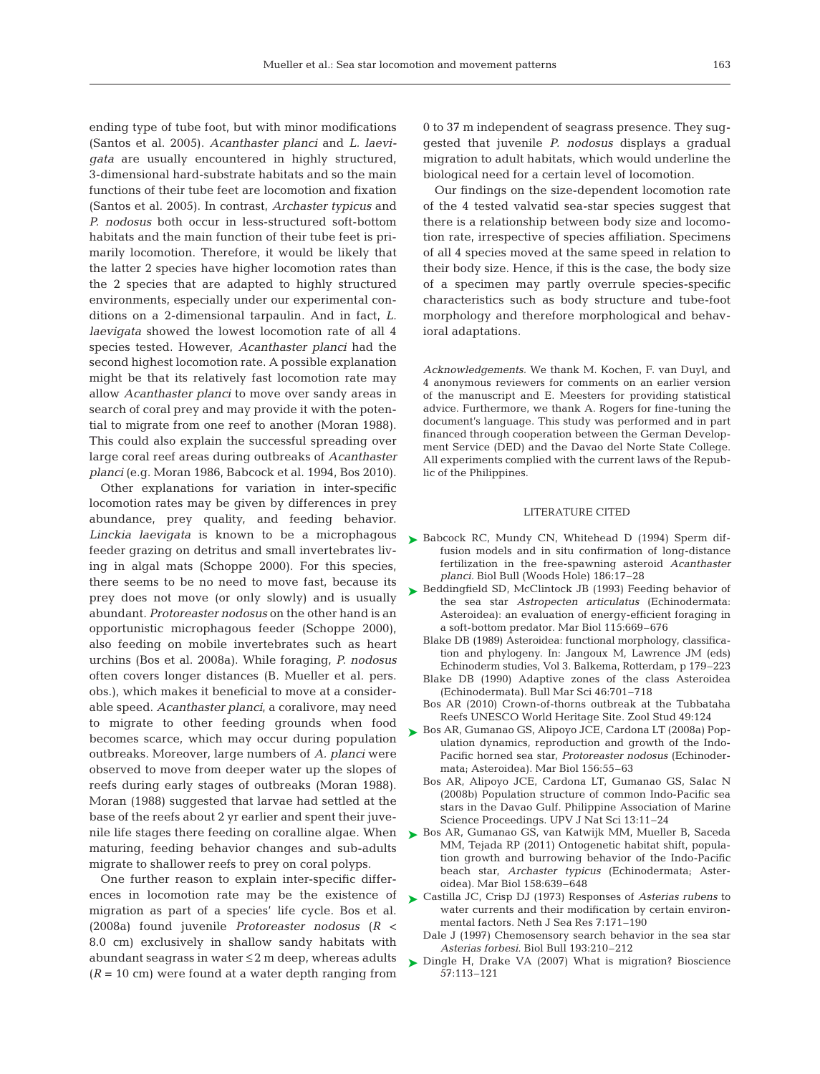ending type of tube foot, but with minor modifications (Santos et al. 2005). *Acanthaster planci* and *L. laevigata* are usually encountered in highly structured, 3-dimensional hard-substrate habitats and so the main functions of their tube feet are locomotion and fixation (Santos et al. 2005). In contrast, *Archaster typicus* and *P. nodosus* both occur in less-structured soft-bottom habitats and the main function of their tube feet is primarily locomotion. Therefore, it would be likely that the latter 2 species have higher locomotion rates than the 2 species that are adapted to highly structured environments, especially under our experimental conditions on a 2-dimensional tarpaulin. And in fact, *L. laevigata* showed the lowest locomotion rate of all 4 species tested. However, *Acanthaster planci* had the second highest locomotion rate. A possible explanation might be that its relatively fast locomotion rate may allow *Acanthaster planci* to move over sandy areas in search of coral prey and may provide it with the potential to migrate from one reef to another (Moran 1988). This could also explain the successful spreading over large coral reef areas during outbreaks of *Acanthaster planci* (e.g. Moran 1986, Babcock et al. 1994, Bos 2010).

Other explanations for variation in inter-specific locomotion rates may be given by differences in prey abundance, prey quality, and feeding behavior. *Linckia laevigata* is known to be a microphagous feeder grazing on detritus and small invertebrates living in algal mats (Schoppe 2000). For this species, there seems to be no need to move fast, because its prey does not move (or only slowly) and is usually abundant. *Protoreaster nodosus* on the other hand is an opportunistic microphagous feeder (Schoppe 2000), also feeding on mobile invertebrates such as heart urchins (Bos et al. 2008a). While foraging, *P. nodosus* often covers longer distances (B. Mueller et al. pers. obs.), which makes it beneficial to move at a considerable speed. *Acanthaster planci*, a coralivore, may need to migrate to other feeding grounds when food becomes scarce, which may occur during population outbreaks. Moreover, large numbers of *A. planci* were observed to move from deeper water up the slopes of reefs during early stages of outbreaks (Moran 1988). Moran (1988) suggested that larvae had settled at the base of the reefs about 2 yr earlier and spent their juvenile life stages there feeding on coralline algae. When  $\triangleright$  Bos AR, Gumanao GS, van Katwijk MM, Mueller B, Saceda maturing, feeding behavior changes and sub-adults migrate to shallower reefs to prey on coral polyps.

One further reason to explain inter-specific differences in locomotion rate may be the existence of migration as part of a species' life cycle. Bos et al. (2008a) found juvenile *Protoreaster nodosus* (*R* < 8.0 cm) exclusively in shallow sandy habitats with abundant seagrass in water ≤ 2 m deep, whereas adults  $(R = 10 \text{ cm})$  were found at a water depth ranging from

0 to 37 m independent of seagrass presence. They suggested that juvenile *P. nodosus* displays a gradual migration to adult habitats, which would underline the biological need for a certain level of locomotion.

Our findings on the size-dependent locomotion rate of the 4 tested valvatid sea-star species suggest that there is a relationship between body size and locomotion rate, irrespective of species affiliation. Specimens of all 4 species moved at the same speed in relation to their body size. Hence, if this is the case, the body size of a specimen may partly overrule species-specific characteristics such as body structure and tube-foot morphology and therefore morphological and behavioral adaptations.

*Acknowledgements.* We thank M. Kochen, F. van Duyl, and 4 anonymous reviewers for comments on an earlier version of the manuscript and E. Meesters for providing statistical advice. Furthermore, we thank A. Rogers for fine-tuning the document's language. This study was performed and in part financed through cooperation between the German Development Service (DED) and the Davao del Norte State College. All experiments complied with the current laws of the Republic of the Philippines.

## LITERATURE CITED

- ▶ Babcock RC, Mundy CN, Whitehead D (1994) Sperm diffusion models and in situ confirmation of long-distance fertilization in the free-spawning asteroid *Acanthaster planci.* Biol Bull (Woods Hole) 186:17–28
- ▶ Beddingfield SD, McClintock JB (1993) Feeding behavior of the sea star *Astropecten articulatus* (Echinodermata: Asteroidea): an evaluation of energy-efficient foraging in a soft-bottom predator. Mar Biol 115:669–676
	- Blake DB (1989) Asteroidea: functional morphology, classification and phylogeny. In: Jangoux M, Lawrence JM (eds) Echino derm studies, Vol 3. Balkema, Rotterdam, p 179–223
	- Blake DB (1990) Adaptive zones of the class Asteroidea (Echinodermata). Bull Mar Sci 46:701–718
	- Bos AR (2010) Crown-of-thorns outbreak at the Tubbataha Reefs UNESCO World Heritage Site. Zool Stud 49:124
- ► Bos AR, Gumanao GS, Alipoyo JCE, Cardona LT (2008a) Population dynamics, reproduction and growth of the Indo-Pacific horned sea star, *Protoreaster nodosus* (Echinodermata; Asteroidea). Mar Biol 156:55–63
	- Bos AR, Alipoyo JCE, Cardona LT, Gumanao GS, Salac N (2008b) Population structure of common Indo-Pacific sea stars in the Davao Gulf. Philippine Association of Marine Science Proceedings. UPV J Nat Sci 13:11–24
- MM, Tejada RP (2011) Ontogenetic habitat shift, population growth and burrowing behavior of the Indo-Pacific beach star, *Archaster typicus* (Echinodermata; Asteroidea). Mar Biol 158:639–648
- Castilla JC, Crisp DJ (1973) Responses of *Asterias rubens* to ➤ water currents and their modification by certain environmental factors. Neth J Sea Res 7:171–190
	- Dale J (1997) Chemosensory search behavior in the sea star *Asterias forbesi.* Biol Bull 193:210–212
- ▶ Dingle H, Drake VA (2007) What is migration? Bioscience 57:113–121